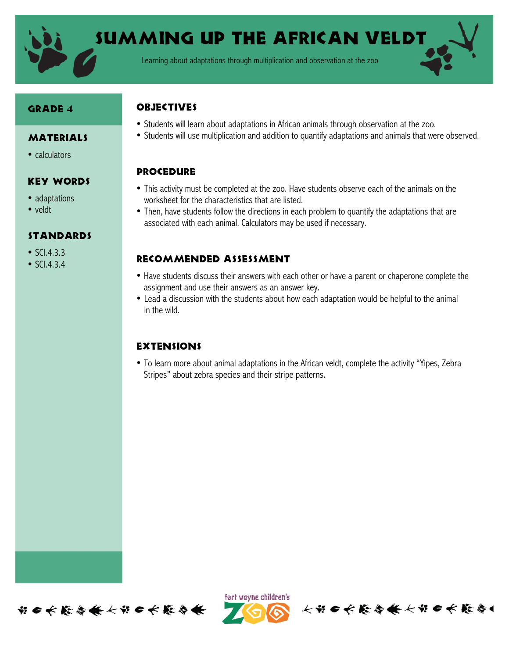

Summing up the African Veldt

Learning about adaptations through multiplication and observation at the zoo

#### Grade 4

• calculators

**MATERIALS** 

Key Words

Standards

• adaptations • veldt

• SCI.4.3.3 •  $SCl.4.3.4$ 

### **OBJECTIVES**

- Students will learn about adaptations in African animals through observation at the zoo.
- Students will use multiplication and addition to quantify adaptations and animals that were observed.

## **PROCEDURE**

- This activity must be completed at the zoo. Have students observe each of the animals on the worksheet for the characteristics that are listed.
- Then, have students follow the directions in each problem to quantify the adaptations that are associated with each animal. Calculators may be used if necessary.

## Recommended assessment

- Have students discuss their answers with each other or have a parent or chaperone complete the assignment and use their answers as an answer key.
- Lead a discussion with the students about how each adaptation would be helpful to the animal in the wild.

# **EXTENSIONS**

• To learn more about animal adaptations in the African veldt, complete the activity "Yipes, Zebra Stripes" about zebra species and their stripe patterns.





长节6长能与条长节6长能与1